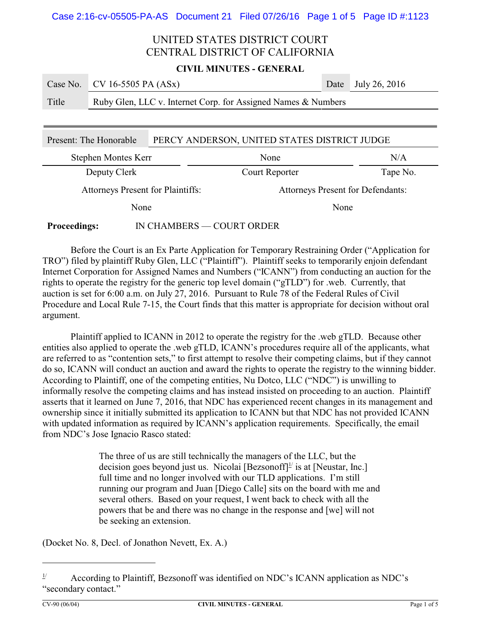#### **CIVIL MINUTES - GENERAL**

**COL** 

|       | Case No. CV 16-5505 PA $(ASx)$                                | Date July 26, 2016 |
|-------|---------------------------------------------------------------|--------------------|
| Title | Ruby Glen, LLC v. Internet Corp. for Assigned Names & Numbers |                    |

| PERCY ANDERSON, UNITED STATES DISTRICT JUDGE<br>Present: The Honorable |  |                                   |          |  |
|------------------------------------------------------------------------|--|-----------------------------------|----------|--|
| Stephen Montes Kerr                                                    |  | None                              | N/A      |  |
| Deputy Clerk                                                           |  | Court Reporter                    | Tape No. |  |
| <b>Attorneys Present for Plaintiffs:</b>                               |  | Attorneys Present for Defendants: |          |  |
| None                                                                   |  | None                              |          |  |
| IN CHAMBERS — COURT ORDER<br><b>Proceedings:</b>                       |  |                                   |          |  |

Before the Court is an Ex Parte Application for Temporary Restraining Order ("Application for TRO") filed by plaintiff Ruby Glen, LLC ("Plaintiff"). Plaintiff seeks to temporarily enjoin defendant Internet Corporation for Assigned Names and Numbers ("ICANN") from conducting an auction for the rights to operate the registry for the generic top level domain ("gTLD") for .web. Currently, that auction is set for 6:00 a.m. on July 27, 2016. Pursuant to Rule 78 of the Federal Rules of Civil Procedure and Local Rule 7-15, the Court finds that this matter is appropriate for decision without oral argument.

Plaintiff applied to ICANN in 2012 to operate the registry for the .web gTLD. Because other entities also applied to operate the .web gTLD, ICANN's procedures require all of the applicants, what are referred to as "contention sets," to first attempt to resolve their competing claims, but if they cannot do so, ICANN will conduct an auction and award the rights to operate the registry to the winning bidder. According to Plaintiff, one of the competing entities, Nu Dotco, LLC ("NDC") is unwilling to informally resolve the competing claims and has instead insisted on proceeding to an auction. Plaintiff asserts that it learned on June 7, 2016, that NDC has experienced recent changes in its management and ownership since it initially submitted its application to ICANN but that NDC has not provided ICANN with updated information as required by ICANN's application requirements. Specifically, the email from NDC's Jose Ignacio Rasco stated:

> The three of us are still technically the managers of the LLC, but the decision goes beyond just us. Nicolai [Bezsonoff]<sup>1/</sup> is at [Neustar, Inc.] full time and no longer involved with our TLD applications. I'm still running our program and Juan [Diego Calle] sits on the board with me and several others. Based on your request, I went back to check with all the powers that be and there was no change in the response and [we] will not be seeking an extension.

(Docket No. 8, Decl. of Jonathon Nevett, Ex. A.)

 $1/$  According to Plaintiff, Bezsonoff was identified on NDC's ICANN application as NDC's "secondary contact."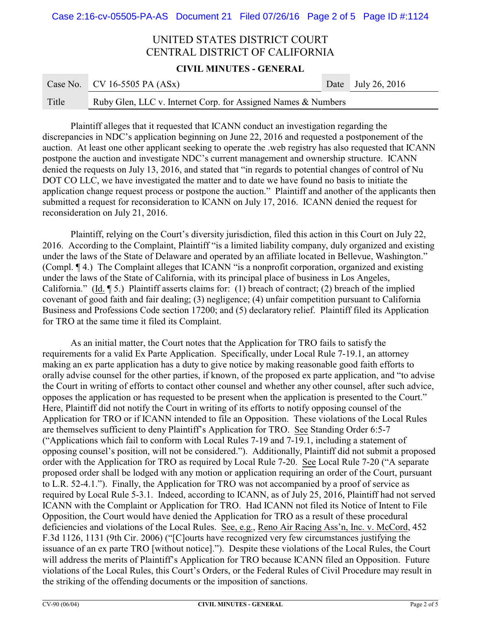**CIVIL MINUTES - GENERAL**

**COL** 

|       | Case No. CV 16-5505 PA $(ASx)$                                | Date July 26, 2016 |
|-------|---------------------------------------------------------------|--------------------|
| Title | Ruby Glen, LLC v. Internet Corp. for Assigned Names & Numbers |                    |

Plaintiff alleges that it requested that ICANN conduct an investigation regarding the discrepancies in NDC's application beginning on June 22, 2016 and requested a postponement of the auction. At least one other applicant seeking to operate the .web registry has also requested that ICANN postpone the auction and investigate NDC's current management and ownership structure. ICANN denied the requests on July 13, 2016, and stated that "in regards to potential changes of control of Nu DOT CO LLC, we have investigated the matter and to date we have found no basis to initiate the application change request process or postpone the auction." Plaintiff and another of the applicants then submitted a request for reconsideration to ICANN on July 17, 2016. ICANN denied the request for reconsideration on July 21, 2016.

Plaintiff, relying on the Court's diversity jurisdiction, filed this action in this Court on July 22, 2016. According to the Complaint, Plaintiff "is a limited liability company, duly organized and existing under the laws of the State of Delaware and operated by an affiliate located in Bellevue, Washington." (Compl. ¶ 4.) The Complaint alleges that ICANN "is a nonprofit corporation, organized and existing under the laws of the State of California, with its principal place of business in Los Angeles, California." (Id. ¶ 5.) Plaintiff asserts claims for: (1) breach of contract; (2) breach of the implied covenant of good faith and fair dealing; (3) negligence; (4) unfair competition pursuant to California Business and Professions Code section 17200; and (5) declaratory relief. Plaintiff filed its Application for TRO at the same time it filed its Complaint.

As an initial matter, the Court notes that the Application for TRO fails to satisfy the requirements for a valid Ex Parte Application. Specifically, under Local Rule 7-19.1, an attorney making an ex parte application has a duty to give notice by making reasonable good faith efforts to orally advise counsel for the other parties, if known, of the proposed ex parte application, and "to advise the Court in writing of efforts to contact other counsel and whether any other counsel, after such advice, opposes the application or has requested to be present when the application is presented to the Court." Here, Plaintiff did not notify the Court in writing of its efforts to notify opposing counsel of the Application for TRO or if ICANN intended to file an Opposition. These violations of the Local Rules are themselves sufficient to deny Plaintiff's Application for TRO. See Standing Order 6:5-7 ("Applications which fail to conform with Local Rules 7-19 and 7-19.1, including a statement of opposing counsel's position, will not be considered."). Additionally, Plaintiff did not submit a proposed order with the Application for TRO as required by Local Rule 7-20. See Local Rule 7-20 ("A separate proposed order shall be lodged with any motion or application requiring an order of the Court, pursuant to L.R. 52-4.1."). Finally, the Application for TRO was not accompanied by a proof of service as required by Local Rule 5-3.1. Indeed, according to ICANN, as of July 25, 2016, Plaintiff had not served ICANN with the Complaint or Application for TRO. Had ICANN not filed its Notice of Intent to File Opposition, the Court would have denied the Application for TRO as a result of these procedural deficiencies and violations of the Local Rules. See, e.g., Reno Air Racing Ass'n, Inc. v. McCord, 452 F.3d 1126, 1131 (9th Cir. 2006) ("[C]ourts have recognized very few circumstances justifying the issuance of an ex parte TRO [without notice]."). Despite these violations of the Local Rules, the Court will address the merits of Plaintiff's Application for TRO because ICANN filed an Opposition. Future violations of the Local Rules, this Court's Orders, or the Federal Rules of Civil Procedure may result in the striking of the offending documents or the imposition of sanctions.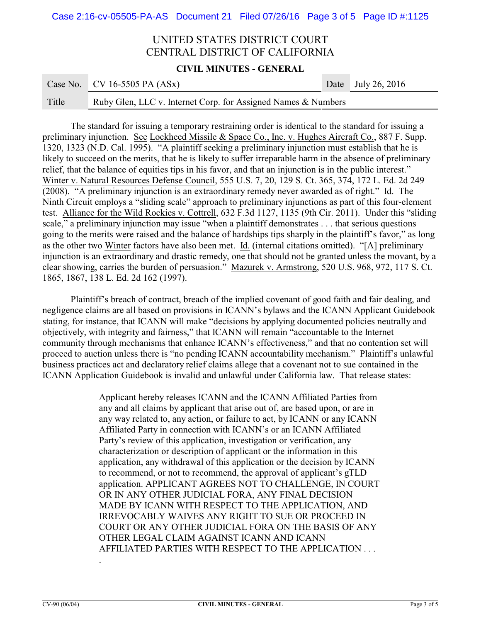#### **CIVIL MINUTES - GENERAL**

**COL** 

|       | Case No. CV 16-5505 PA $(ASx)$                                | Date July 26, 2016 |
|-------|---------------------------------------------------------------|--------------------|
| Title | Ruby Glen, LLC v. Internet Corp. for Assigned Names & Numbers |                    |

The standard for issuing a temporary restraining order is identical to the standard for issuing a preliminary injunction. See Lockheed Missile & Space Co., Inc. v. Hughes Aircraft Co., 887 F. Supp. 1320, 1323 (N.D. Cal. 1995). "A plaintiff seeking a preliminary injunction must establish that he is likely to succeed on the merits, that he is likely to suffer irreparable harm in the absence of preliminary relief, that the balance of equities tips in his favor, and that an injunction is in the public interest." Winter v. Natural Resources Defense Council, 555 U.S. 7, 20, 129 S. Ct. 365, 374, 172 L. Ed. 2d 249 (2008). "A preliminary injunction is an extraordinary remedy never awarded as of right." Id. The Ninth Circuit employs a "sliding scale" approach to preliminary injunctions as part of this four-element test. Alliance for the Wild Rockies v. Cottrell, 632 F.3d 1127, 1135 (9th Cir. 2011). Under this "sliding scale," a preliminary injunction may issue "when a plaintiff demonstrates . . . that serious questions going to the merits were raised and the balance of hardships tips sharply in the plaintiff's favor," as long as the other two Winter factors have also been met. Id. (internal citations omitted). "[A] preliminary injunction is an extraordinary and drastic remedy, one that should not be granted unless the movant, by a clear showing, carries the burden of persuasion." Mazurek v. Armstrong, 520 U.S. 968, 972, 117 S. Ct. 1865, 1867, 138 L. Ed. 2d 162 (1997).

Plaintiff's breach of contract, breach of the implied covenant of good faith and fair dealing, and negligence claims are all based on provisions in ICANN's bylaws and the ICANN Applicant Guidebook stating, for instance, that ICANN will make "decisions by applying documented policies neutrally and objectively, with integrity and fairness," that ICANN will remain "accountable to the Internet community through mechanisms that enhance ICANN's effectiveness," and that no contention set will proceed to auction unless there is "no pending ICANN accountability mechanism." Plaintiff's unlawful business practices act and declaratory relief claims allege that a covenant not to sue contained in the ICANN Application Guidebook is invalid and unlawful under California law. That release states:

> Applicant hereby releases ICANN and the ICANN Affiliated Parties from any and all claims by applicant that arise out of, are based upon, or are in any way related to, any action, or failure to act, by ICANN or any ICANN Affiliated Party in connection with ICANN's or an ICANN Affiliated Party's review of this application, investigation or verification, any characterization or description of applicant or the information in this application, any withdrawal of this application or the decision by ICANN to recommend, or not to recommend, the approval of applicant's gTLD application. APPLICANT AGREES NOT TO CHALLENGE, IN COURT OR IN ANY OTHER JUDICIAL FORA, ANY FINAL DECISION MADE BY ICANN WITH RESPECT TO THE APPLICATION, AND IRREVOCABLY WAIVES ANY RIGHT TO SUE OR PROCEED IN COURT OR ANY OTHER JUDICIAL FORA ON THE BASIS OF ANY OTHER LEGAL CLAIM AGAINST ICANN AND ICANN AFFILIATED PARTIES WITH RESPECT TO THE APPLICATION . . .

.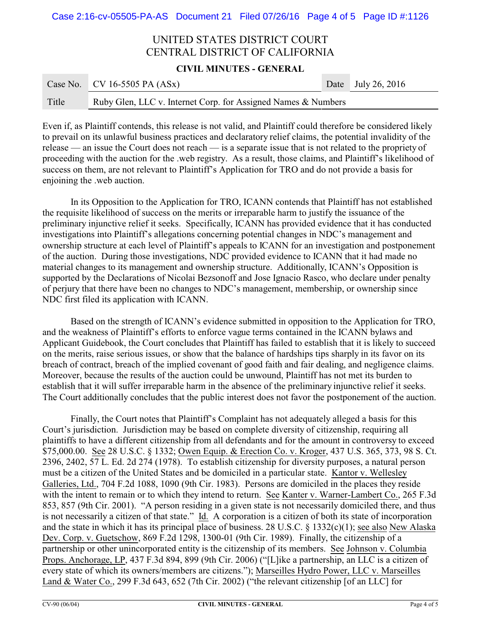**CIVIL MINUTES - GENERAL**

 $\sim$ 

|       | Case No. CV 16-5505 PA $(ASx)$                                | Date July 26, 2016 |
|-------|---------------------------------------------------------------|--------------------|
| Title | Ruby Glen, LLC v. Internet Corp. for Assigned Names & Numbers |                    |

Even if, as Plaintiff contends, this release is not valid, and Plaintiff could therefore be considered likely to prevail on its unlawful business practices and declaratory relief claims, the potential invalidity of the release — an issue the Court does not reach — is a separate issue that is not related to the propriety of proceeding with the auction for the .web registry. As a result, those claims, and Plaintiff's likelihood of success on them, are not relevant to Plaintiff's Application for TRO and do not provide a basis for enjoining the .web auction.

In its Opposition to the Application for TRO, ICANN contends that Plaintiff has not established the requisite likelihood of success on the merits or irreparable harm to justify the issuance of the preliminary injunctive relief it seeks. Specifically, ICANN has provided evidence that it has conducted investigations into Plaintiff's allegations concerning potential changes in NDC's management and ownership structure at each level of Plaintiff's appeals to ICANN for an investigation and postponement of the auction. During those investigations, NDC provided evidence to ICANN that it had made no material changes to its management and ownership structure. Additionally, ICANN's Opposition is supported by the Declarations of Nicolai Bezsonoff and Jose Ignacio Rasco, who declare under penalty of perjury that there have been no changes to NDC's management, membership, or ownership since NDC first filed its application with ICANN.

Based on the strength of ICANN's evidence submitted in opposition to the Application for TRO, and the weakness of Plaintiff's efforts to enforce vague terms contained in the ICANN bylaws and Applicant Guidebook, the Court concludes that Plaintiff has failed to establish that it is likely to succeed on the merits, raise serious issues, or show that the balance of hardships tips sharply in its favor on its breach of contract, breach of the implied covenant of good faith and fair dealing, and negligence claims. Moreover, because the results of the auction could be unwound, Plaintiff has not met its burden to establish that it will suffer irreparable harm in the absence of the preliminary injunctive relief it seeks. The Court additionally concludes that the public interest does not favor the postponement of the auction.

Finally, the Court notes that Plaintiff's Complaint has not adequately alleged a basis for this Court's jurisdiction. Jurisdiction may be based on complete diversity of citizenship, requiring all plaintiffs to have a different citizenship from all defendants and for the amount in controversy to exceed \$75,000.00. See 28 U.S.C. § 1332; Owen Equip. & Erection Co. v. Kroger, 437 U.S. 365, 373, 98 S. Ct. 2396, 2402, 57 L. Ed. 2d 274 (1978). To establish citizenship for diversity purposes, a natural person must be a citizen of the United States and be domiciled in a particular state. Kantor v. Wellesley Galleries, Ltd., 704 F.2d 1088, 1090 (9th Cir. 1983). Persons are domiciled in the places they reside with the intent to remain or to which they intend to return. See Kanter v. Warner-Lambert Co., 265 F.3d 853, 857 (9th Cir. 2001). "A person residing in a given state is not necessarily domiciled there, and thus is not necessarily a citizen of that state." Id. A corporation is a citizen of both its state of incorporation and the state in which it has its principal place of business. 28 U.S.C. § 1332(c)(1); see also New Alaska Dev. Corp. v. Guetschow, 869 F.2d 1298, 1300-01 (9th Cir. 1989). Finally, the citizenship of a partnership or other unincorporated entity is the citizenship of its members. See Johnson v. Columbia Props. Anchorage, LP, 437 F.3d 894, 899 (9th Cir. 2006) ("[L]ike a partnership, an LLC is a citizen of every state of which its owners/members are citizens."); Marseilles Hydro Power, LLC v. Marseilles Land & Water Co., 299 F.3d 643, 652 (7th Cir. 2002) ("the relevant citizenship [of an LLC] for